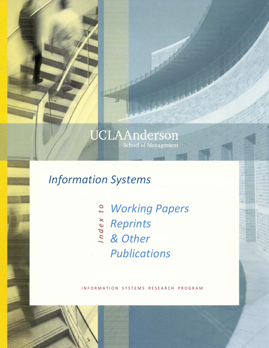# UCLAAnderson School of Management

# *Information Systems*

*Working Papers Reprints & Other Publications I n d e x t o*

INFORMATION SYSTEMS RESEARCH PROGRAM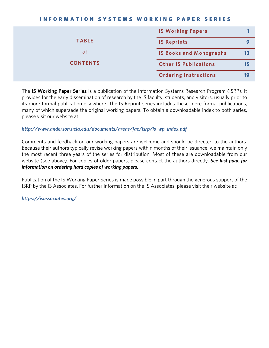#### INFORMATION SYSTEMS WORKING PAPER SERIES

|                 | <b>IS Working Papers</b>       |    |
|-----------------|--------------------------------|----|
| <b>TABLE</b>    | <b>IS Reprints</b>             |    |
| 0f              | <b>IS Books and Monographs</b> | 13 |
| <b>CONTENTS</b> | <b>Other IS Publications</b>   | 15 |
|                 | <b>Ordering Instructions</b>   | 19 |

The **IS Working Paper Series** is a publication of the Information Systems Research Program (ISRP). It provides for the early dissemination of research by the IS faculty, students, and visitors, usually prior to its more formal publication elsewhere. The IS Reprint series includes these more formal publications, many of which supersede the original working papers. To obtain a downloadable index to both series, please visit our website at:

### *http://www.anderson.ucla.edu/documents/areas/fac/isrp/is\_wp\_index.pdf*

Comments and feedback on our working papers are welcome and should be directed to the authors. Because their authors typically revise working papers within months of their issuance, we maintain only the most recent three years of the series for distribution. Most of these are downloadable from our website (see above). For copies of older papers, please contact the authors directly. *See last page for information on ordering hard copies of working papers.*

Publication of the IS Working Paper Series is made possible in part through the generous support of the ISRP by the IS Associates. For further information on the IS Associates, please visit their website at:

*https://isassociates.org/*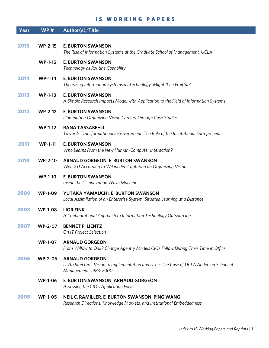#### IS WORKING PAPERS

| Year | WP#            | Author(s)/Title                                                                                                                           |
|------|----------------|-------------------------------------------------------------------------------------------------------------------------------------------|
| 2015 | <b>WP-2-15</b> | <b>E. BURTON SWANSON</b><br>The Rise of Information Systems at the Graduate School of Management, UCLA                                    |
|      | $WP-1-15$      | <b>E. BURTON SWANSON</b><br>Technology as Routine Capability                                                                              |
| 2014 | $WP-1-14$      | <b>E. BURTON SWANSON</b><br>Theorizing Information Systems as Technology: Might It be Fruitful?                                           |
| 2013 | $WP-1-13$      | <b>E. BURTON SWANSON</b><br>A Simple Research Impacts Model with Application to the Field of Information Systems                          |
| 2012 | $WP-2-12$      | <b>E. BURTON SWANSON</b><br>Illuminating Organizing Vision Careers Through Case Studies                                                   |
|      | $WP-1-12$      | <b>RANA TASSABEHJI</b><br>Towards Transformational E-Government: The Role of the Institutional Entrepreneur                               |
| 2011 | $WP-1-11$      | <b>E. BURTON SWANSON</b><br>Who Learns From the New Human-Computer Interaction?                                                           |
| 2010 | <b>WP-2-10</b> | <b>ARNAUD GORGEON, E. BURTON SWANSON</b><br>Web 2.0 According to Wikipedia: Capturing an Organizing Vision                                |
|      | <b>WP-1-10</b> | <b>E. BURTON SWANSON</b><br>Inside the IT Innovation Wave Machine                                                                         |
| 2009 | <b>WP-1-09</b> | YUTAKA YAMAUCHI, E. BURTON SWANSON<br>Local Assimilation of an Enterprise System: Situated Learning at a Distance                         |
| 2008 | <b>WP-1-08</b> | <b>LIOR FINK</b><br>A Configurational Approach to Information Technology Outsourcing                                                      |
| 2007 | <b>WP-2-07</b> | <b>BENNET P. LIENTZ</b><br>On IT Project Selection                                                                                        |
|      | <b>WP-1-07</b> | <b>ARNAUD GORGEON</b><br>From Willow to Oak? Change Agentry Models CIOs Follow During Their Time in Office                                |
| 2006 | <b>WP-2-06</b> | <b>ARNAUD GORGEON</b><br>IT Architecture: Vision to Implementation and Use - The Case of UCLA Anderson School of<br>Management, 1983-2000 |
|      | <b>WP-1-06</b> | E. BURTON SWANSON, ARNAUD GORGEON<br>Assessing the CIO's Application Focus                                                                |
| 2005 | <b>WP-1-05</b> | NEIL C. RAMILLER, E. BURTON SWANSON, PING WANG                                                                                            |

*Research Directions, Knowledge Markets, and Institutional Embeddedness*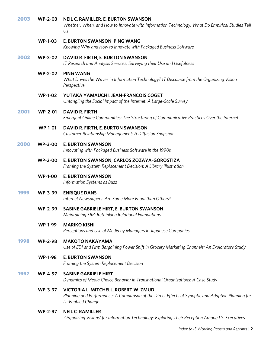| 2003 | <b>WP-2-03</b> | <b>NEIL C. RAMILLER, E. BURTON SWANSON</b><br>Whether, When, and How to Innovate with Information Technology: What Do Empirical Studies Tell<br>Us              |
|------|----------------|-----------------------------------------------------------------------------------------------------------------------------------------------------------------|
|      | <b>WP-1-03</b> | E. BURTON SWANSON, PING WANG<br>Knowing Why and How to Innovate with Packaged Business Software                                                                 |
| 2002 | <b>WP-3-02</b> | DAVID R. FIRTH, E. BURTON SWANSON<br>IT Research and Analysis Services: Surveying their Use and Usefulness                                                      |
|      | <b>WP-2-02</b> | <b>PING WANG</b><br>What Drives the Waves in Information Technology? IT Discourse from the Organizing Vision<br>Perspective                                     |
|      | <b>WP-1-02</b> | YUTAKA YAMAUCHI, JEAN-FRANCOIS COGET<br>Untangling the Social Impact of the Internet: A Large-Scale Survey                                                      |
| 2001 | <b>WP-2-01</b> | <b>DAVID R. FIRTH</b><br>Emergent Online Communities: The Structuring of Communicative Practices Over the Internet                                              |
|      | <b>WP-1-01</b> | DAVID R. FIRTH, E. BURTON SWANSON<br>Customer Relationship Management: A Diffusion Snapshot                                                                     |
| 2000 | <b>WP-3-00</b> | <b>E. BURTON SWANSON</b><br>Innovating with Packaged Business Software in the 1990s                                                                             |
|      | <b>WP-2-00</b> | E. BURTON SWANSON, CARLOS ZOZAYA-GOROSTIZA<br>Framing the System Replacement Decision: A Library Illustration                                                   |
|      | <b>WP-1-00</b> | <b>E. BURTON SWANSON</b><br>Information Systems as Buzz                                                                                                         |
| 1999 | <b>WP-3-99</b> | <b>ENRIQUE DANS</b><br>Internet Newspapers: Are Some More Equal than Others?                                                                                    |
|      | <b>WP-2-99</b> | <b>SABINE GABRIELE HIRT, E. BURTON SWANSON</b><br>Maintaining ERP: Rethinking Relational Foundations                                                            |
|      | <b>WP-1-99</b> | <b>MARIKO KISHI</b><br>Perceptions and Use of Media by Managers in Japanese Companies                                                                           |
| 1998 | <b>WP-2-98</b> | <b>MAKOTO NAKAYAMA</b><br>Use of EDI and Firm Bargaining Power Shift in Grocery Marketing Channels: An Exploratory Study                                        |
|      | <b>WP-1-98</b> | <b>E. BURTON SWANSON</b><br>Framing the System Replacement Decision                                                                                             |
| 1997 | <b>WP-4-97</b> | <b>SABINE GABRIELE HIRT</b><br>Dynamics of Media Choice Behavior in Transnational Organizations: A Case Study                                                   |
|      | <b>WP-3-97</b> | VICTORIA L. MITCHELL, ROBERT W. ZMUD<br>Planning and Performance: A Comparison of the Direct Effects of Synoptic and Adaptive Planning for<br>IT-Enabled Change |
|      | <b>WP-2-97</b> | <b>NEIL C. RAMILLER</b><br>'Organizing Visions' for Information Technology: Exploring Their Reception Among I.S. Executives                                     |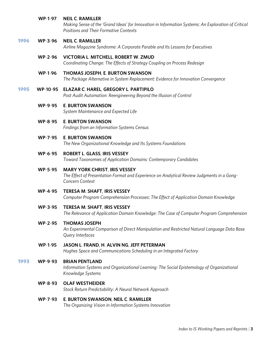#### **WP**-**1**-**97 NEIL C**. **RAMILLER**

*Making Sense of the 'Grand Ideas' for Innovation in Information Systems: An Exploration of Critical Positions and Their Formative Contexts*

#### 1996 **WP**-**3**-**96 NEIL C**. **RAMILLER**

*Airline Magazine Syndrome: A Corporate Parable and Its Lessons for Executives*

#### **WP**-**2**-**96 VICTORIA L**. **MITCHELL**, **ROBERT W**. **ZMUD**

*Coordinating Change: The Effects of Strategy Coupling on Process Redesign*

#### **WP**-**1**-**96 THOMAS JOSEPH**, **E**. **BURTON SWANSON**

*The Package Alternative in System Replacement: Evidence for Innovation Convergence*

#### 1995 **WP**-**10**-**95 ELAZAR C**. **HAREL**, **GREGORY L**. **PARTIPILO**

*Post Audit Automation: Reengineering Beyond the Illusion of Control*

#### **WP**-**9**-**95 E**. **BURTON SWANSON**

*System Maintenance and Expected Life*

#### **WP**-**8**-**95 E**. **BURTON SWANSON**

*Findings from an Information Systems Census*

#### **WP**-**7**-**95 E**. **BURTON SWANSON**

*The New Organizational Knowledge and Its Systems Foundations*

#### **WP**-**6**-**95 ROBERT L**. **GLASS**, **IRIS VESSEY**

*Toward Taxonomies of Application Domains: Contemporary Candidates*

#### **WP**-**5**-**95 MARY YORK CHRIST**, **IRIS VESSEY**

*The Effect of Presentation Format and Experience on Analytical Review Judgments in a Gong*-*Concern Context*

## **WP**-**4**-**95 TERESA M**. **SHAFT**, **IRIS VESSEY** *Computer Program Comprehension Processes: The Effect of Application Domain Knowledge*

 **WP**-**3**-**95 TERESA M**. **SHAFT**, **IRIS VESSEY** *The Relevance of Application Domain Knowledge: The Case of Computer Program Comprehension*

#### **WP**-**2**-**95 THOMAS JOSEPH**

*An Experimental Comparison of Direct Manipulation and Restricted Natural Language Data Base Query Interfaces*

# **WP**-**1**-**95 JASON L**. **FRAND**, **H**. **ALVIN NG**, **JEFF PETERMAN**

*Hughes Space and Communications Scheduling in an Integrated Factory*

## 1993 **WP**-**9**-**93 BRIAN PENTLAND**

*Information Systems and Organizational Learning: The Social Epistemology of Organizational Knowledge Systems*

### **WP**-**8**-**93 OLAF WESTHEIDER**

*Stock Return Predictability: A Neural Network Approach*

# **WP**-**7**-**93 E**. **BURTON SWANSON**, **NEIL C**. **RAMILLER**

*The Organizing Vision in Information Systems Innovation*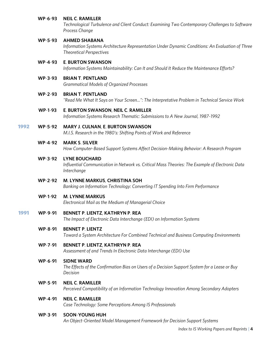#### **WP**-**6**-**93 NEIL C**. **RAMILLER**

*Technological Turbulence and Client Conduct: Examining Two Contemporary Challenges to Software Process Change*

#### **WP**-**5**-**93 AHMED SHABANA**

*Information Systems Architecture Representation Under Dynamic Conditions: An Evaluation of Three Theoretical Perspectives*

#### **WP**-**4**-**93 E**. **BURTON SWANSON**

*Information Systems Maintainability: Can It and Should It Reduce the Maintenance Efforts?*

#### **WP**-**3**-**93 BRIAN T**. **PENTLAND**

*Grammatical Models of Organized Processes*

#### **WP**-**2**-**93 BRIAN T**. **PENTLAND**

*"Read Me What It Says on Your Screen...": The Interpretative Problem in Technical Service Work*

#### **WP**-**1**-**93 E**. **BURTON SWANSON**, **NEIL C**. **RAMILLER**

*Information Systems Research Thematic: Submissions to A New Journal, 1987*-*1992*

#### 1992 **WP**-**5**-**92 MARY J**. **CULNAN**, **E**. **BURTON SWANSON**

*M.I.S. Research in the 1980's: Shifting Points of Work and Reference*

#### **WP**-**4**-**92 MARK S**. **SILVER**

*How Computer*-*Based Support Systems Affect Decision*-*Making Behavior: A Research Program*

#### **WP**-**3**-**92 LYNE BOUCHARD**

*Influential Communication in Network vs. Critical Mass Theories: The Example of Electronic Data Interchange* 

#### **WP**-**2**-**92 M**. **LYNNE MARKUS**, **CHRISTINA SOH**

*Banking on Information Technology: Converting IT Spending Into Firm Performance*

#### **WP**-**1**-**92 M**. **LYNNE MARKUS**

*Electronical Mail as the Medium of Managerial Choice*

#### 1991 **WP**-**9**-**91 BENNET P**. **LIENTZ**, **KATHRYN P**. **REA**

*The Impact of Electronic Data Interchange (EDI) on Information Systems*

#### **WP**-**8**-**91 BENNET P**. **LIENTZ**

*Toward a System Architecture For Combined Technical and Business Computing Environments*

#### **WP**-**7**-**91 BENNET P**. **LIENTZ**, **KATHRYN P**. **REA**

*Assessment of and Trends In Electronic Data Interchange (EDI) Use*

#### **WP**-**6**-**91 SIDNE WARD**

*The Effects of the Confirmation Bias on Users of a Decision Support System for a Lease or Buy Decision*

#### **WP**-**5**-**91 NEIL C**. **RAMILLER**

*Perceived Compatibility of an Information Technology Innovation Among Secondary Adopters*

# **WP**-**4**-**91 NEIL C**. **RAMILLER**

*Case Technology: Some Perceptions Among IS Professionals*

#### **WP**-**3**-**91 SOON**-**YOUNG HUH**

*An Object*-*Oriented Model Management Framework for Decision Support Systems*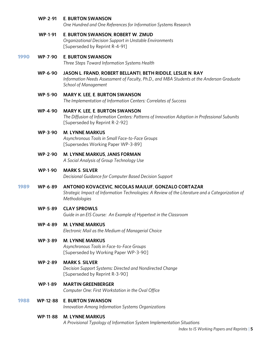#### **WP**-**2**-**91 E**. **BURTON SWANSON**

*One Hundred and One References for Information Systems Research*

#### **WP**-**1**-**91 E**. **BURTON SWANSON**, **ROBERT W**. **ZMUD**

*Organizational Decision Support in Unstable Environments* [Superseded by Reprint R-4-91]

#### 1990 **WP**-**7**-**90 E**. **BURTON SWANSON**

*Three Steps Toward Information Systems Health*

#### **WP**-**6**-**90 JASON L**. **FRAND**, **ROBERT BELLANTI**, **BETH RIDDLE**, **LESLIE N**. **RAY** *Information Needs Assessment of Faculty, Ph.D., and MBA Students at the Anderson Graduate School of Management*

#### **WP**-**5**-**90 MARY K**. **LEE**, **E**. **BURTON SWANSON**

*The Implementation of Information Centers: Correlates of Success*

#### **WP**-**4**-**90 MARY K**. **LEE**, **E**. **BURTON SWANSON**

*The Diffusion of Information Centers: Patterns of Innovation Adoption in Professional Subunits* [Superseded by Reprint R-2-92]

#### **WP**-**3**-**90 M**. **LYNNE MARKUS**

*Asynchronous Tools in Small Face*-*to*-*Face Groups* [Supersedes Working Paper WP-3-89]

#### **WP**-**2**-**90 M**. **LYNNE MARKUS**, **JANIS FORMAN**

*A Social Analysis of Group Technology Use*

#### **WP**-**1**-**90 MARK S**. **SILVER**

*Decisional Guidance for Computer Based Decision Support*

#### 1989 **WP**-**6**-**89 ANTONIO KOVACEVIC**, **NICOLAS MAJLUF**, **GONZALO CORTAZAR**

*Strategic Impact of Information Technologies: A Review of the Literature and a Categorization of Methodologies*

#### **WP**-**5**-**89 CLAY SPROWLS**

*Guide in an EIS Course: An Example of Hypertext in the Classroom*

#### **WP**-**4**-**89 M**. **LYNNE MARKUS**

*Electronic Mail as the Medium of Managerial Choice*

#### **WP**-**3**-**89 M**. **LYNNE MARKUS**

*Asynchronous Tools in Face*-*to*-*Face Groups* [Superseded by Working Paper WP-3-90]

#### **WP**-**2**-**89 MARK S**. **SILVER**

*Decision Support Systems: Directed and Nondirected Change* [Superseded by Reprint R-3-90]

# **WP**-**1**-**89 MARTIN GREENBERGER**

*Computer One: First Workstation in the Oval Office*

#### 1988 **WP**-**12**-**88 E**. **BURTON SWANSON**

*Innovation Among Information Systems Organizations*

#### **WP**-**11**-**88 M**. **LYNNE MARKUS**

*A Provisional Typology of Information System Implementation Situations*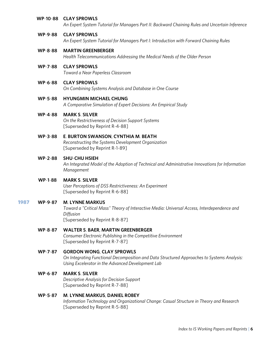#### **WP**-**10**-**88 CLAY SPROWLS**

*An Expert System Tutorial for Managers Part II: Backward Chaining Rules and Uncertain Inference*

#### **WP**-**9**-**88 CLAY SPROWLS**

*An Expert System Tutorial for Managers Part I: Introduction with Forward Chaining Rules*

#### **WP**-**8**-**88 MARTIN GREENBERGER**

*Health Telecommunications Addressing the Medical Needs of the Older Person*

#### **WP**-**7**-**88 CLAY SPROWLS**

*Toward a Near Paperless Classroom*

#### **WP**-**6**-**88 CLAY SPROWLS**

*On Combining Systems Analysis and Database in One Course*

#### **WP**-**5**-**88 HYUNGMIN MICHAEL CHUNG**

*A Comparative Simulation of Expert Decisions: An Empirical Study*

#### **WP**-**4**-**88 MARK S**. **SILVER**

*On the Restrictiveness of Decision Support Systems* [Superseded by Reprint R-4-88]

#### **WP**-**3**-**88 E**. **BURTON SWANSON**, **CYNTHIA M**. **BEATH**

*Reconstructing the Systems Development Organization* [Superseded by Reprint R-1-89]

#### **WP**-**2**-**88 SHU**-**CHU HSIEH**

*An Integrated Model of the Adoption of Technical and Administrative Innovations for Information Management* 

#### **WP**-**1**-**88 MARK S**. **SILVER**

*User Perceptions of DSS Restrictiveness: An Experiment* [Superseded by Reprint R-6-88]

#### 1987 **WP**-**9**-**87 M**. **LYNNE MARKUS**

*Toward a "Critical Mass" Theory of Interactive Media: Universal Access, Interdependence and Diffusion* [Superseded by Reprint R-8-87]

#### **WP**-**8**-**87 WALTER S**. **BAER**, **MARTIN GREENBERGER**

*Consumer Electronic Publishing in the Competitive Environment* [Superseded by Reprint R-7-87]

#### **WP**-**7**-**87 GORDON WONG**, **CLAY SPROWLS**

*On Integrating Functional Decomposition and Data Structured Approaches to Systems Analysis: Using Excelerator in the Advanced Development Lab*

#### **WP**-**6**-**87 MARK S**. **SILVER**

*Descriptive Analysis for Decision Support* [Superseded by Reprint R-7-88]

#### **WP**-**5**-**87 M**. **LYNNE MARKUS**, **DANIEL ROBEY**

*Information Technology and Organizational Change: Casual Structure in Theory and Research* [Superseded by Reprint R-5-88]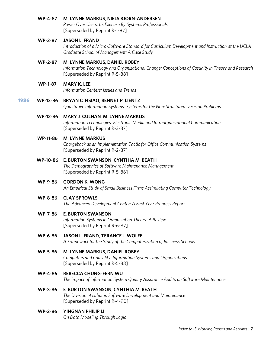#### **WP**-**4**-**87 M**. **LYNNE MARKUS**, **NIELS BJØRN**-**ANDERSEN**

*Power Over Users: Its Exercise By Systems Professionals* [Superseded by Reprint R-1-87]

#### **WP**-**3**-**87 JASON L**. **FRAND**

*Introduction of a Micro*-*Software Standard for Curriculum Development and Instruction at the UCLA Graduate School of Management: A Case Study*

#### **WP**-**2**-**87 M**. **LYNNE MARKUS**, **DANIEL ROBEY**

*Information Technology and Organizational Change: Conceptions of Casualty in Theory and Research* [Superseded by Reprint R-5-88]

#### **WP**-**1**-**87 MARY K**. **LEE**

*Information Centers: Issues and Trends*

#### 1986 **WP**-**13**-**86 BRYAN C**. **HSIAO**, **BENNET P**. **LIENTZ**

*Qualitative Information Systems: Systems for the Non*-*Structured Decision Problems*

#### **WP**-**12**-**86 MARY J**. **CULNAN**, **M**. **LYNNE MARKUS**

*Information Technologies: Electronic Media and Intraorganizational Communication* [Superseded by Reprint R-3-87]

#### **WP**-**11**-**86 M**. **LYNNE MARKUS**

*Chargeback as an Implementation Tactic for Office Communication Systems* [Superseded by Reprint R-2-87]

#### **WP**-**10**-**86 E**. **BURTON SWANSON**, **CYNTHIA M**. **BEATH**

*The Demographics of Software Maintenance Management* [Superseded by Reprint R-5-86]

### **WP**-**9**-**86 GORDON K**. **WONG**

*An Empirical Study of Small Business Firms Assimilating Computer Technology*

#### **WP**-**8**-**86 CLAY SPROWLS**

*The Advanced Development Center: A First Year Progress Report*

#### **WP**-**7**-**86 E**. **BURTON SWANSON**

*Information Systems in Organization Theory: A Review* [Superseded by Reprint R-6-87]

#### **WP**-**6**-**86 JASON L**. **FRAND**, **TERANCE J**. **WOLFE**

*A Framework for the Study of the Computerization of Business Schools*

#### **WP**-**5**-**86 M**. **LYNNE MARKUS**, **DANIEL ROBEY**

*Computers and Causality: Information Systems and Organizations* [Superseded by Reprint R-5-88]

#### **WP**-**4**-**86 REBECCA CHUNG**-**FERN WU**

*The Impact of Information System Quality Assurance Audits on Software Maintenance*

# **WP**-**3**-**86 E**. **BURTON SWANSON**, **CYNTHIA M**. **BEATH**

*The Division of Labor in Software Development and Maintenance*  [Superseded by Reprint R-4-90]

#### **WP**-**2**-**86 YINGNAN PHILIP LI**

*On Data Modeling Through Logic*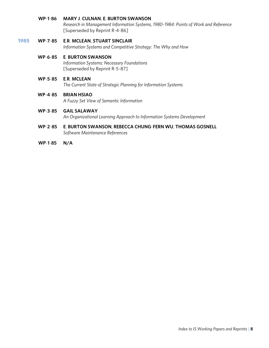#### **WP**-**1**-**86 MARY J**. **CULNAN**, **E**. **BURTON SWANSON**

*Research in Management Information Systems, 1980*-*1984: Points of Work and Reference* [Superseded by Reprint R-4-86]

#### 1985 **WP**-**7**-**85 E**.**R**. **MCLEAN**, **STUART SINCLAIR**

*Information Systems and Competitive Strategy: The Why and How*

## **WP**-**6**-**85 E**. **BURTON SWANSON**

*Information Systems: Necessary Foundations* [Superseded by Reprint R-5-87]

#### **WP**-**5**-**85 E**.**R**. **MCLEAN**

*The Current State of Strategic Planning for Information Systems*

#### **WP**-**4**-**85 BRIAN HSIAO**

*A Fuzzy Set View of Semantic Information*

#### **WP**-**3**-**85 GAIL SALAWAY**

*An Organizational Learning Approach to Information Systems Development*

#### **WP**-**2**-**85 E**. **BURTON SWANSON**, **REBECCA CHUNG**-**FERN WU**, **THOMAS GOSNELL** *Software Maintenance References*

 **WP**-**1**-**85 N/A**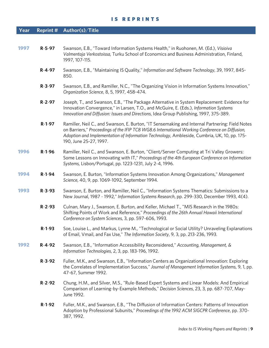#### IS REPRINTS

# **Year Reprint # Author(s)**/**Title**

| 1997 | R-5-97       | Swanson, E.B., "Toward Information Systems Health," in Ruohonen, M. (Ed.), Visioiva<br>Valmentaja Verkostoissa, Turku School of Economics and Business Administration, Finland,<br>1997, 107-115.                                                                                                                          |
|------|--------------|----------------------------------------------------------------------------------------------------------------------------------------------------------------------------------------------------------------------------------------------------------------------------------------------------------------------------|
|      | $R - 4 - 97$ | Swanson, E.B., "Maintaining IS Quality," Information and Software Technology, 39, 1997, 845-<br>850.                                                                                                                                                                                                                       |
|      | $R - 3 - 97$ | Swanson, E.B., and Ramiller, N.C., "The Organizing Vision in Information Systems Innovation,"<br>Organization Science, 8, 5, 1997, 458-474.                                                                                                                                                                                |
|      | $R - 2 - 97$ | Joseph, T., and Swanson, E.B., "The Package Alternative in System Replacement: Evidence for<br>Innovation Convergence," in Larsen, T.O., and McGuire, E. (Eds.), Information Systems<br>Innovation and Diffusion: Issues and Directions, Idea Group Publishing, 1997, 375-389.                                             |
|      | $R-1-97$     | Ramiller, Neil C., and Swanson, E. Burton, "IT Sensemaking and Internal Partnering: Field Notes<br>on Barriers," Proceedings of the IFIP TC8 WG8.6 International Working Conference on Diffusion,<br>Adoption and Implementation of Information Technology, Ambleside, Cumbria, UK, 10, pp. 175-<br>190, June 25-27, 1997. |
| 1996 | $R-1-96$     | Ramiller, Neil C., and Swanson, E. Burton, "Client/Server Computing at Tri Valley Growers:<br>Some Lessons on Innovating with IT," Proceedings of the 4th European Conference on Information<br>Systems, Lisbon/Portugal, pp. 1223-1231, July 2-4, 1996.                                                                   |
| 1994 | $R-1-94$     | Swanson, E. Burton, "Information Systems Innovation Among Organizations," Management<br>Science, 40, 9, pp. 1069-1092, September 1994.                                                                                                                                                                                     |
| 1993 | $R - 3 - 93$ | Swanson, E. Burton, and Ramiller, Neil C., "Information Systems Thematics: Submissions to a<br>New Journal, 1987 - 1992," Information Systems Research, pp. 299-330, December 1993, 4(4).                                                                                                                                  |
|      | $R - 2 - 93$ | Culnan, Mary J., Swanson, E. Burton, and Keller, Michael T., "MIS Research in the 1980s:<br>Shifting Points of Work and Reference," Proceedings of the 26th Annual Hawaii International<br>Conference on System Sciences, 3, pp. 597-606, 1993.                                                                            |
|      | $R-1-93$     | Soe, Louise L., and Markus, Lynne M., "Technological or Social Utility? Unraveling Explanations<br>of Email, Vmail, and Fax Use," The Information Society, 9, 3, pp. 213-236, 1993.                                                                                                                                        |
| 1992 | R-4-92       | Swanson, E.B., "Information Accessibility Reconsidered," Accounting, Management, &<br>Information Technologies, 2, 3, pp. 183-196, 1992.                                                                                                                                                                                   |
|      | $R - 3 - 92$ | Fuller, M.K., and Swanson, E.B., "Information Centers as Organizational Innovation: Exploring<br>the Correlates of Implementation Success," Journal of Management Information Systems, 9, 1, pp.<br>47-67, Summer 1992.                                                                                                    |
|      | $R - 2 - 92$ | Chung, H.M., and Silver, M.S., "Rule-Based Expert Systems and Linear Models: And Empirical<br>Comparison of Learning-by-Example Methods," Decision Sciences, 23, 3, pp. 687-707, May-<br>June 1992.                                                                                                                        |
|      | $R-1-92$     | Fuller, M.K., and Swanson, E.B., "The Diffusion of Information Centers: Patterns of Innovation<br>Adoption by Professional Subunits," Proceedings of the 1992 ACM SIGCPR Conference, pp. 370-<br>387, 1992.                                                                                                                |
|      |              |                                                                                                                                                                                                                                                                                                                            |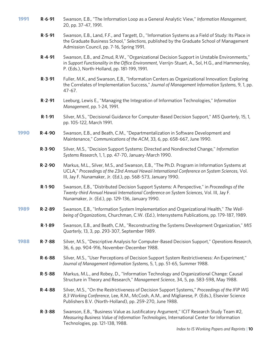- 1991 **R**-**6**-**91** Swanson, E.B., "The Information Loop as a General Analytic View," *Information Management*, 20, pp. 37-47, 1991.
	- **R**-**5**-**91** Swanson, E.B., Land, F.F., and Targett, D., "Information Systems as a Field of Study: Its Place in the Graduate Business School," *Selections*, published by the Graduate School of Management Admission Council, pp. 7-16, Spring 1991.
	- **R**-**4**-**91** Swanson, E.B., and Zmud, R.W., "Organizational Decision Support in Unstable Environments," in *Support Functionality in the Office Environment*, Verrijn-Stuart, A., Sol, H.G., and Hammersley, P. (Eds.), North-Holland, pp. 181-199, 1991.
	- **R**-**3**-**91** Fuller, M.K., and Swanson, E.B., "Information Centers as Organizational Innovation: Exploring the Correlates of Implementation Success," *Journal of Management Information Systems*, 9, 1, pp. 47-67.
	- **R**-**2**-**91** Leeburg, Lewis E., "Managing the Integration of Information Technologies," *Information Management*, pp. 1-24, 1991.
	- **R**-**1**-**91** Silver, M.S., "Decisional Guidance for Computer-Based Decision Support," *MIS Quarterly*, 15, 1, pp. 105-122, March 1991.
- 1990 **R**-**4**-**90** Swanson, E.B., and Beath, C.M., "Departmentalization in Software Development and Maintenance," *Communications of the ACM*, 33, 6, pp. 658-667, June 1990.
	- **R**-**3**-**90** Silver, M.S., "Decision Support Systems: Directed and Nondirected Change," *Information Systems Research*, 1, 1, pp. 47-70, January-March 1990.
	- **R**-**2**-**90** Markus, M.L., Silver, M.S., and Swanson, E.B., "The Ph.D. Program in Information Systems at UCLA," *Proceedings of the 23rd Annual Hawaii International Conference on System Sciences*, Vol. III, Jay F. Nunamaker, Jr. (Ed.), pp. 568-573, January 1990.
	- **R**-**1**-**90** Swanson, E.B., "Distributed Decision Support Systems: A Perspective," in *Proceedings of the Twenty-third Annual Hawaii International Conference on System Sciences*, Vol. III, Jay F. Nunamaker, Jr. (Ed.), pp. 129-136, January 1990.
- 1989 **R**-**2**-**89** Swanson, E.B., "Information System Implementation and Organizational Health," *The Wellbeing of Organizations*, Churchman, C.W. (Ed.), Intersystems Publications, pp. 179-187, 1989.
	- **R**-**1**-**89** Swanson, E.B., and Beath, C.M., "Reconstructing the Systems Development Organization," *MIS Quarterly*, 13, 3, pp. 293-307, September 1989.
- 1988 **R**-**7**-**88** Silver, M.S., "Descriptive Analysis for Computer-Based Decision Support," *Operations Research*, 36, 6, pp. 904-916, November-December 1988.
	- **R**-**6**-**88** Silver, M.S., "User Perceptions of Decision Support System Restrictiveness: An Experiment," *Journal of Management Information Systems*, 5, 1, pp. 51-65, Summer 1988.
	- **R**-**5**-**88** Markus, M.L., and Robey, D., "Information Technology and Organizational Change: Causal Structure in Theory and Research," *Management Science*, 34, 5, pp. 583-598, May 1988.
	- **R**-**4**-**88** Silver, M.S., "On the Restrictiveness of Decision Support Systems," *Proceedings of the IFIP WG 8,3 Working Conference*, Lee, R.M., McCosh, A.M., and Migliarese, P. (Eds.), Elsevier Science Publishers B.V. (North-Holland), pp. 259-270, June 1988.
	- **R**-**3**-**88** Swanson, E.B., "Business Value as Justificatory Argument," ICIT Research Study Team #2, *Measuring Business Value of Information Technologies*, International Center for Information Technologies, pp. 121-138, 1988.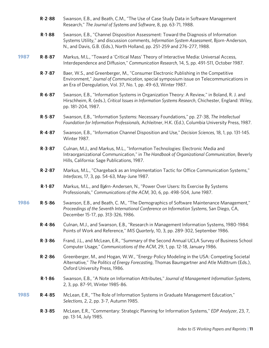- **R**-**2**-**88** Swanson, E.B., and Beath, C.M., "The Use of Case Study Data in Software Management Research," *The Journal of Systems and Software*, 8, pp. 63-71, 1988.
- **R**-**1**-**88** Swanson, E.B., "Channel Disposition Assessment: Toward the Diagnosis of Information Systems Utility," and discussion comments, *Information System Assessment*, Bjorn-Anderson, N., and Davis, G.B. (Eds.), North Holland, pp. 251-259 and 276-277, 1988.
- 1987 **R**-**8**-**87** Markus, M.L., "Toward a 'Critical Mass' Theory of Interactive Media: Universal Access, Interdependence and Diffusion," *Communication Research*, 14, 5, pp. 491-511, October 1987.
	- **R**-**7**-**87** Baer, W.S., and Greenberger, M., "Consumer Electronic Publishing in the Competitive Environment," *Journal of Communication*, special symposium issue on Telecommunications in an Era of Deregulation, Vol. 37, No. 1, pp. 49-63, Winter 1987.
	- **R**-**6**-**87** Swanson, E.B., "Information Systems in Organization Theory: A Review," in Boland, R. J. and Hirschheim, R. (eds.), *Critical Issues in Information Systems Research*, Chichester, England: Wiley, pp. 181-204, 1987.
	- **R**-**5**-**87** Swanson, E.B., "Information Systems: Necessary Foundations," pp. 27-38, *The Intellectual Foundation for Information Professionals*, Achleitner, H.K. (Ed.), Columbia University Press, 1987.
	- **R**-**4**-**87** Swanson, E.B., "Information Channel Disposition and Use," *Decision Sciences*, 18, 1, pp. 131-145. Winter 1987.
	- **R**-**3**-**87** Culnan, M.J., and Markus, M.L., "Information Technologies: Electronic Media and Intraorganizational Communication," in *The Handbook of Organizational Communication*, Beverly Hills, California: Sage Publications, 1987.
	- **R**-**2**-**87** Markus, M.L., "Chargeback as an Implementation Tactic for Office Communication Systems," *Interfaces*, 17, 3, pp. 54-63, May-June 1987.
	- **R-1-87** Markus, M.L., and Bigrn-Andersen, N., "Power Over Users: Its Exercise By Systems Professionals," *Communications of the ACM*, 30, 6, pp. 498-504, June 1987.
- 1986 **R**-**5**-**86** Swanson, E.B., and Beath, C. M., "The Demographics of Software Maintenance Management," *Proceedings of the Seventh International Conference on Information Systems*, San Diego, CA, December 15-17, pp. 313-326, 1986.
	- **R**-**4**-**86** Culnan, M.J., and Swanson, E.B., "Research in Management Information Systems, 1980-1984: Points of Work and Reference," *MIS Quarterly*, 10, 3, pp. 289-302, September 1986.
	- **R**-**3**-**86** Frand, J.L., and McLean, E.R., "Summary of the Second Annual UCLA Survey of Business School Computer Usage," *Communications of the ACM*, 29, 1, pp. 12-18, January 1986.
	- **R**-**2**-**86** Greenberger, M., and Hogan, W.W., "Energy-Policy Modeling in the USA: Competing Societal Alternative," *The Politics of Energy Forecasting*, Thomas Baumgartner and Atle Midttrum (Eds.), Oxford University Press, 1986.
	- **R**-**1**-**86** Swanson, E.B., "A Note on Information Attributes," *Journal of Management Information Systems*, 2, 3, pp. 87-91, Winter 1985-86.
- 1985 **R**-**4**-**85** McLean, E.R., "The Role of Information Systems in Graduate Management Education," *Selections*, 2, 2, pp. 3-7, Autumn 1985.
	- **R**-**3**-**85** McLean, E.R., "Commentary: Strategic Planning for Information Systems," *EDP Analyzer*, 23, 7, pp. 13-14, July 1985.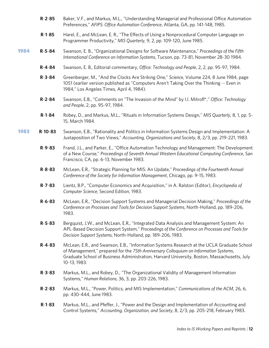- **R**-**2**-**85** Baker, V.F., and Markus, M.L., "Understanding Managerial and Professional Office Automation Preferences," *AFIPS: Office Automation Conference*, Atlanta, GA, pp. 141-148, 1985.
- **R**-**1**-**85** Harel, E., and McLean, E. R., "The Effects of Using a Nonprocedural Computer Language on Programmer Productivity," *MIS Quarterly*, 9, 2, pp. 109-120, June 1985.
- 1984 **R**-**5**-**84** Swanson, E. B., "Organizational Designs for Software Maintenance," *Proceedings of the Fifth International Conference on Information Systems*, Tucson, pp. 73-81, November 28-30 1984.
	- **R**-**4**-**84** Swanson, E. B., Editorial commentary, *Office: Technology and People*, 2, 2, pp. 95-97, 1984.
	- **R**-**3**-**84** Greenberger, M., "And the Clocks Are Striking One," *Science*, Volume 224, 8 June 1984, page 1051 (earlier version published as "Computers Aren't Taking Over the Thinking -- Even in 1984," Los Angeles Times, April 4, 1984).
	- **R**-**2**-**84** Swanson, E.B., "Comments on "The Invasion of the Mind" by I.I. Mitroff\*," *Office: Technology and People*, 2, pp. 95-97, 1984.
	- **R**-**1**-**84** Robey, D., and Markus, M.L., "Rituals in Information Systems Design," *MIS Quarterly*, 8, 1, pp. 5- 15, March 1984.
- 1983 **R**-**10**-**83** Swanson, E.B., "Rationality and Politics in Information Systems Design and Implementation: A Juxtaposition of Two Views," *Accounting, Organizations and Society*, 8, 2/3, pp. 219-221, 1983.
	- **R**-**9**-**83** Frand, J.L., and Parker, E., "Office Automation Technology and Management: The Development of a New Course," *Proceedings of Seventh Annual Western Educational Computing Conference*, San Francisco, CA, pp. 6-13, November 1983.
	- **R**-**8**-**83** McLean, E.R., "Strategic Planning for MIS: An Update," *Proceedings of the Fourteenth Annual Conference of the Society for Information Management*, Chicago, pp. 9-15, 1983.
	- **R**-**7**-**83** Lientz, B.P., "Computer Economics and Acquisition," in A. Ralston (Editor), *Encyclopedia of Computer Science*, Second Edition, 1983.
	- **R**-**6**-**83** McLean, E.R., "Decision Support Systems and Managerial Decision Making," *Proceedings of the Conference on Processes and Tools for Decision Support Systems*, North-Holland, pp. 189-206, 1983.
	- **R**-**5**-**83** Bergquist, J.W., and McLean, E.R., "Integrated Data Analysis and Management System: An APL-Based Decision Support System," *Proceedings of the Conference on Processes and Tools for Decision Support Systems*, North-Holland, pp. 189-206, 1983.
	- **R**-**4**-**83** McLean, E.R., and Swanson, E.B., "Information Systems Research at the UCLA Graduate School of Management," prepared for the *75th Anniversary Colloquium on Information Systems*, Graduate School of Business Administration, Harvard University, Boston, Massachusetts, July 10-13, 1983.
	- **R**-**3**-**83** Markus, M.L., and Robey, D., "The Organizational Validity of Management Information Systems," *Human Relations*, 36, 3, pp. 203-226, 1983.
	- **R**-**2**-**83** Markus, M.L., "Power, Politics, and MIS Implementation," *Communications of the ACM*, 26, 6, pp. 430-444, June 1983.
	- **R**-**1**-**83** Markus, M.L., and Pfeffer, J., "Power and the Design and Implementation of Accounting and Control Systems," *Accounting, Organization, and Society*, 8, 2/3, pp. 205-218, February 1983.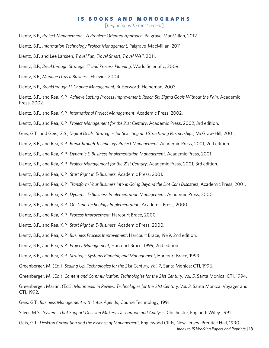#### IS BOOKS AND MONOGRAPHS

[*beginning with most recent*]

- Lientz, B.P., *Project Management A Problem Oriented Approach*, Palgrave-MacMillan, 2012.
- Lientz, B.P., *Information Technology Project Management*, Palgrave-MacMillan, 2011.
- Lientz, B.P. and Lee Larssen, *Travel Fun, Travel Smart, Travel Well*, 2011.
- Lientz, B.P., *Breakthrough Strategic IT and Process Planning*, World Scientific, 2009.
- Lientz, B.P., *Manage IT as a Business*, Elsevier, 2004.
- Lientz, B.P., *Breakthrough IT Change Management*, Butterworth Heineman, 2003.
- Lientz, B.P., and Rea, K.P., *Achieve Lasting Process Improvement: Reach Six Sigma Goals Without the Pain*, Academic Press, 2002.
- Lientz, B.P., and Rea, K.P., *International Project Management*, Academic Press, 2002.
- Lientz, B.P., and Rea, K.P., *Project Management for the 21st Century*, Academic Press, 2002, 3rd edition.
- Geis, G.T., and Geis, G.S., *Digital Deals: Strategies for Selecting and Structuring Partnerships*, McGraw-Hill, 2001.
- Lientz, B.P., and Rea, K.P., *Breakthrough Technology Project Management*, Academic Press, 2001, 2nd edition.
- Lientz, B.P., and Rea, K.P., *Dynamic E-Business Implementation Management*, Academic Press, 2001.
- Lientz, B.P., and Rea, K.P., *Project Management for the 21st Century*, Academic Press, 2001, 3rd edition.
- Lientz, B.P., and Rea, K.P., *Start Right in E-Business*, Academic Press, 2001.
- Lientz, B.P., and Rea, K.P., *Transform Your Business into e: Going Beyond the Dot Com Disasters*, Academic Press, 2001.
- Lientz, B.P., and Rea, K.P., *Dynamic E-Business Implementation Management*, Academic Press, 2000.
- Lientz, B.P., and Rea, K.P., *On-Time Technology Implementation*, Academic Press, 2000.
- Lientz, B.P., and Rea, K.P., *Process Improvement*, Harcourt Brace, 2000.
- Lientz, B.P., and Rea, K.P., *Start Right in E-Business*, Academic Press, 2000.
- Lientz, B.P., and Rea, K.P., *Business Process Improvement*, Harcourt Brace, 1999, 2nd edition.
- Lientz, B.P., and Rea, K.P., *Project Management*, Harcourt Brace, 1999, 2nd edition.
- Lientz, B.P., and Rea, K.P., *Strategic Systems Planning and Management*, Harcourt Brace, 1999.
- Greenberger, M. (Ed.), *Scaling Up, Technologies for the 21st Century, Vol. 7*, Santa Monica: CTI, 1996.
- Greenberger, M. (Ed.), *Content and Communication, Technologies for the 21st Century, Vol. 5*, Santa Monica: CTI, 1994.

Greenberger, Martin, (Ed.), *Multimedia in Review, Technologies for the 21st Century, Vol. 3*, Santa Monica: Voyager and CTI, 1992.

- Geis, G.T., *Business Management with Lotus Agenda*, Course Technology, 1991.
- Silver, M.S., *Systems That Support Decision Makers: Description and Analysis*, Chichester, England: Wiley, 1991.
- *Index to IS Working Papers and Reprints* **| 13** Geis, G.T., *Desktop Computing and the Essence of Management*, Englewood Cliffs, New Jersey: Prentice Hall, 1990.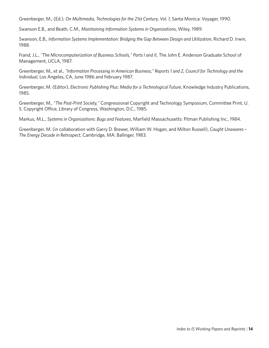Greenberger, M., (Ed.), *On Multimedia, Technologies for the 21st Century, Vol. 1*, Santa Monica: Voyager, 1990.

Swanson E.B., and Beath, C.M., *Maintaining Information Systems in Organizations*, Wiley, 1989.

Swanson, E.B., *Information Systems Implementation: Bridging the Gap Between Design and Utilization*, Richard D. Irwin, 1988.

Frand, J.L., "The Microcomputerization of Business Schools," Parts I and II, The John E. Anderson Graduate School of Management, UCLA, 1987.

Greenberger, M., et al., *"Information Processing in American Business," Reports 1 and 2, Council for Technology and the Individual,* Los Angeles, CA, June 1986 and February 1987.

Greenberger, M. (Editor), *Electronic Publishing Plus: Media for a Technological Future*, Knowledge Industry Publications, 1985.

Greenberger, M., *"The Post-Print Society,"* Congressional Copyright and Technology Symposium, Committee Print, U. S. Copyright Office, Library of Congress, Washington, D.C., 1985.

Markus, M.L., *Systems in Organizations: Bugs and Features*, Marfield Massachusetts: Pitman Publishing Inc., 1984.

Greenberger, M. (in collaboration with Garry D. Brewer, William W. Hogan, and Milton Russell), *Caught Unawares – The Energy Decade in Retrospect*, Cambridge, MA: Ballinger, 1983.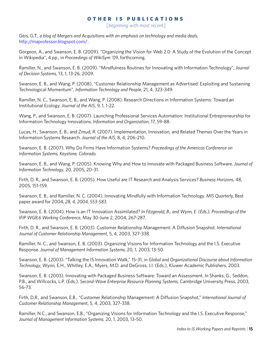# OTHER IS PUBLICATIONS

[*beginning with most recent*]

Geis, G.T., *a blog of Mergers and Acquisitions with an emphasis on technology and media deals*, [http://maprofessor.blogspot.com/.](http://maprofessor.blogspot.com/)

Gorgeon, A., and Swanson, E. B. (2009). "Organizing the Vision for Web 2.0: A Study of the Evolution of the Concept in Wikipedia", 4 pp., in *Proceedings of WikiSym '09*, forthcoming.

Ramiller, N., and Swanson, E. B. (2009). "Mindfulness Routines for Innovating with Information Technology", *Journal of Decision Systems*, 13, 1, 13-26, 2009.

Swanson, E. B., and Wang, P. (2008). "Customer Relationship Management as Advertised: Exploiting and Sustaining Technological Momentum", *Information Technology and People*, 21, 4, 323-349.

Ramiller, N. C., Swanson, E. B., and Wang, P. (2008). Research Directions in Information Systems: Toward an Institutional Ecology. *Journal of the AIS*, 9, 1, 1-22.

Wang, P., and Swanson, E. B. (2007). Launching Professional Services Automation: Institutional Entrepreneurship for Information Technology Innovations. *Information and Organization*, 17, 59-88.

Lucas, H., Swanson, E. B., and Zmud, R. (2007). Implementation, Innovation, and Related Themes Over the Years in Information Systems Research. *Journal of the AIS*, 8, 4, 206-210.

Swanson, E. B. (2007). Why Do Firms Have Information Systems? *Proceedings of the Americas Conference on Information Systems, Keystone, Colorado.*

Swanson, E. B., and Wang, P. (2005). Knowing Why and How to Innovate with Packaged Business Software. *Journal of Information Technology*, 20, 2005, 20-31.

Firth, D. R., and Swanson, E. B. (2005). How Useful are IT Research and Analysis Services? *Business Horizons*, 48, 2005, 151-159.

Swanson, E. B., and Ramiller, N. C. (2004). Innovating Mindfully with Information Technology. *MIS Quarterly,* Best paper award for 2004*, 28, 4, 2004, 553-583.*

Swanson, E. B. (2004). How is an IT Innovation Assimilated? *In Fitzgerald, B., and Wynn, E. (Eds.), Proceedings of the IFIP WG8.6 Working Conference*, May 30-June 2, 2004, 267-287.

Firth, D. R., and Swanson, E. B. (2003). Customer Relationship Management: A Diffusion Snapshot. *International Journal of Customer Relationship Management*, 5, 4, 2003, 327-338.

Ramiller, N. C., and Swanson, E. B. (2003). Organizing Visions for Information Technology and the I.S. Executive Response. *Journal of Management Information Systems*, 20, 1, 2003, 13-50.

Swanson, E. B. (2003). "Talking the IS Innovation Walk," 15-31, in *Global and Organizational Discourse about Information Technology*, Wynn, E.H., Whitley, E.A., Myers, M.D. and DeGross, J.I. (Eds.), Kluwer Academic Publishers, 2003.

Swanson, E. B. (2003). Innovating with Packaged Business Software: Toward an Assessment. *I*n Shanks, G., Seddon, P.B., and Willcocks, L.P. (Eds.), *Second-Wave Enterprise Resource Planning Systems,* Cambridge University Press, 2003, 56-73*.* 

Firth, D.R., and Swanson, E.B., "Customer Relationship Management: A Diffusion Snapshot," *International Journal of Customer Relationship Management*, 5, 4, 2003, 327-338.

Ramiller, N.C., and Swanson, E.B., "Organizing Visions for Information Technology and the I.S. Executive Response," *Journal of Management Information Systems*, 20, 1, 2003, 13-50.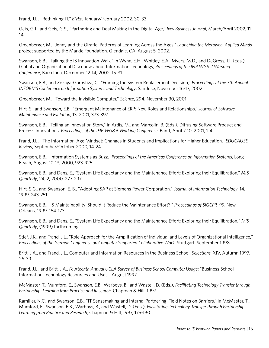Frand, J.L., "Rethinking IT," *BizEd*, January/February 2002. 30-33.

Geis, G.T., and Geis, G.S., "Partnering and Deal Making in the Digital Age," *Ivey Business Journal*, March/April 2002, 11- 14.

Greenberger, M., "Jenny and the Giraffe: Patterns of Learning Across the Ages," *Launching the Metaweb, Applied Minds* project supported by the Markle Foundation, Glendale, CA, August 5, 2002.

Swanson, E.B., "Talking the IS Innovation Walk," in Wynn, E.H., Whitley, E.A., Myers, M.D., and DeGross, J.I. (Eds.), Global and Organizational Discourse about Information Technology, *Proceedings of the IFIP WG8.2 Working Conference*, Barcelona, December 12-14, 2002, 15-31.

Swanson, E.B., and Zozaya-Gorostiza, C., "Framing the System Replacement Decision," *Proceedings of the 7th Annual INFORMS Conference on Information Systems and Technology*, San Jose, November 16-17, 2002.

Greenberger, M., "Toward the Invisible Computer," *Science*, 294, November 30, 2001.

Hirt, S., and Swanson, E.B., "Emergent Maintenance of ERP: New Roles and Relationships," *Journal of Software Maintenance and Evolution*, 13, 2001, 373-397.

Swanson, E.B., "Telling an Innovation Story," in Ardis, M., and Marcolin, B. (Eds.), Diffusing Software Product and Process Innovations, *Proceedings of the IFIP WG8.6 Working Conference*, Banff, April 7-10, 2001, 1-4.

Frand, J.L., "The Information-Age Mindset: Changes in Students and Implications for Higher Education," *EDUCAUSE Review*, September/October 2000, 14-24.

Swanson, E.B., "Information Systems as Buzz," *Proceedings of the Americas Conference on Information Systems*, Long Beach, August 10-13, 2000, 923-925.

Swanson, E.B., and Dans, E., "System Life Expectancy and the Maintenance Effort: Exploring their Equilibration," *MIS Quarterly*, 24, 2, 2000, 277-297.

Hirt, S.G., and Swanson, E. B., "Adopting SAP at Siemens Power Corporation," *Journal of Information Technology*, 14, 1999, 243-251.

Swanson, E.B., "IS Maintainability: Should it Reduce the Maintenance Effort?," *Proceedings of SIGCPR '99*, New Orleans, 1999, 164-173.

Swanson, E.B., and Dans, E., "System Life Expectancy and the Maintenance Effort: Exploring their Equilibration," *MIS Quarterly*, (1999) forthcoming.

Stief, J.K., and Frand, J.L., "Role Approach for the Amplification of Individual and Levels of Organizational Intelligence," *Proceedings of the German Conference on Computer Supported Collaborative Work*, Stuttgart, September 1998.

Britt, J.A., and Frand, J.L., Computer and Information Resources in the Business School, *Selections*, XIV, Autumn 1997, 26-39.

Frand, J.L., and Britt, J.A., *Fourteenth Annual UCLA Survey of Business School Computer Usage*: "Business School Information Technology Resources and Uses," August 1997.

McMaster, T., Mumford, E., Swanson, E.B., Warboys, B., and Wastell, D. (Eds.), *Facilitating Technology Transfer through Partnership: Learning from Practice and Research*, Chapman & Hill, 1997.

Ramiller, N.C., and Swanson, E.B., "IT Sensemaking and Internal Partnering: Field Notes on Barriers," in McMaster, T., Mumford, E., Swanson, E.B., Warboys, B., and Wastell, D. (Eds.), *Facilitating Technology Transfer through Partnership: Learning from Practice and Research*, Chapman & Hill, 1997, 175-190.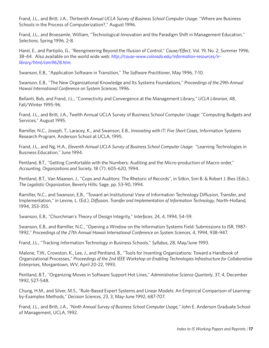Frand, J.L., and Britt, J.A., *Thirteenth Annual UCLA Survey of Business School Computer Usage:* "Where are Business Schools in the Process of Computerization?," August 1996.

Frand, J.L., and Broesamle, William, "Technological Innovation and the Paradigm Shift in Management Education," *Selections*, Spring 1996, 2-8.

Harel, E., and Partipilo, G., "Reengineering Beyond the Illusion of Control," *Cause/Effect*, Vol. 19, No. 2, Summer 1996, 38-44. Also available on the world wide web: *[http://cause-www.colorado.edu/information-resources/ir](http://cause-www.colorado.edu/information-resources/ir-library/html/cem9628.htm)[library/html/cem9628.htm.](http://cause-www.colorado.edu/information-resources/ir-library/html/cem9628.htm)* 

Swanson, E.B., "Application Software in Transition," *The Software Practitioner*, May 1996, 7-10.

Swanson, E.B., "The New Organizational Knowledge and Its Systems Foundations," *Proceedings of the 29th Annual Hawaii International Conference on System Sciences*, 1996.

Bellanti, Bob, and Frand, J.L., "Connectivity and Convergence at the Management Library," *UCLA Librarian*, 48, Fall/Winter 1995-96.

Frand, J.L., and Britt, J.A., Twelth Annual UCLA Survey of Business School Computer Usage: "Computing Budgets and Services," August 1995.

Ramiller, N.C., Joseph, T., Laracey, K., and Swanson, E.B., *Innovating with IT: Five Short Cases*, Information Systems Research Program, Anderson School at UCLA, 1995.

Frand, J.L., and Ng, H.A., *Eleventh Annual UCLA Survey of Business School Computer Usage:* "Learning Technologies in Business Education," June 1994.

Pentland, B.T., "Getting Comfortable with the Numbers: Auditing and the Micro-production of Macro-order," *Accounting, Organizations and Society*, 18 (7): 605-620, 1994.

Pentland, B.T., Van Maanen, J., "Cops and Auditors: The Rhetoric of Records", in Sitkin, Sim B. & Robert J. Bies (Eds.), *The Legalistic Organization*, Beverly Hills: Sage, pp. 53-90, 1994.

Ramiller, N.C., and Swanson, E.B., "Toward an Institutional View of Information Technology Diffusion, Transfer, and Implementation," in Levine, L. (Ed.), *Diffusion, Transfer and Implementation of Information Technology*, North-Holland, 1994, 353-355.

Swanson, E.B., "Churchman's Theory of Design Integrity," *Interfaces*, 24, 4, 1994, 54-59.

Swanson, E.B., and Ramiller, N.C., "Opening a Window on the Information Systems Field: Submissions to ISR, 1987- 1992," *Proceedings of the 27th Annual Hawaii International Conference on System Sciences*, 4, 1994, 938-947.

Frand, J.L., "Tracking Information Technology in Business Schools," *Syllabus*, 28, May/June 1993.

Malone, T.W., Crowston, K., Lee, J., and Pentland, B., "Tools for Inventing Organizations: Toward a Handbook of Organizational Processes," *Proceedings of the 2nd IEEE Workshop on Enabling Technologies Infrastructure for Collaborative Enterprises*, Morgantown, WV, April 20-22, 1993.

Pentland, B.T., "Organizing Moves in Software Support Hot Lines," *Administrative Science Quarterly*, 37, 4, December 1992, 527-548.

Chung, H.M., and Silver, M.S., "Rule-Based Expert Systems and Linear Models: An Empirical Comparison of Learningby-Examples Methods," *Decision Sciences*, 23, 3, May-June 1992, 687-707.

Frand, J.L., and Britt, J.A., *"Ninth Annual Survey of Business School Computer Usage,"* John E. Anderson Graduate School of Management, UCLA, 1992.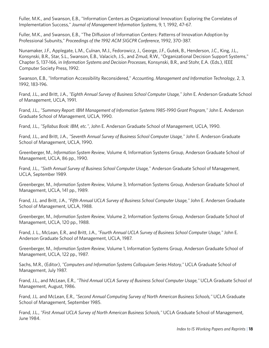Fuller, M.K., and Swanson, E.B., "Information Centers as Organizational Innovation: Exploring the Correlates of Implementation Success," *Journal of Management Information Systems*, 9, 1, 1992, 47-67.

Fuller, M.K., and Swanson, E.B., "The Diffusion of Information Centers: Patterns of Innovation Adoption by Professional Subunits," *Proceedings of the 1992 ACM SIGCPR Conference*, 1992, 370-387.

Nunamaker, J.F., Applegate, L.M., Culnan, M.J., Fedorowicz, J., George, J.F., Gutek, B., Henderson, J.C., King, J.L., Konsynski, B.R., Star, S.L., Swanson, E.B., Valacich, J.S., and Zmud, R.W., "Organizational Decision Support Systems," Chapter 5, 137-166, in *Information Systems and Decision Processes*, Konsynski, B.R., and Stohr, E.A. (Eds.), IEEE Computer Society Press, 1992.

Swanson, E.B., "Information Accessibility Reconsidered," *Accounting, Management and Information Technology*, 2, 3, 1992, 183-196.

Frand, J.L., and Britt, J.A., *"Eighth Annual Survey of Business School Computer Usage,"* John E. Anderson Graduate School of Management, UCLA, 1991.

Frand, J.L., *"Summary Report: IBM Management of Information Systems 1985-1990 Grant Program,"* John E. Anderson Graduate School of Management, UCLA, 1990.

Frand, J.L., *"Syllabus Book: IBM, etc."*, John E. Anderson Graduate School of Management, UCLA, 1990.

Frand, J.L., and Britt, J.A., *"Seventh Annual Survey of Business School Computer Usage,"* John E. Anderson Graduate School of Management, UCLA, 1990.

Greenberger, M., *Information System Review*, Volume 4, Information Systems Group, Anderson Graduate School of Management, UCLA, 86 pp., 1990.

Frand, J.L., *"Sixth Annual Survey of Business School Computer Usage,"* Anderson Graduate School of Management, UCLA, September 1989.

Greenberger, M., *Information System Review*, Volume 3, Information Systems Group, Anderson Graduate School of Management, UCLA, 141 pp., 1989.

Frand, J.L. and Britt, J.A., *"Fifth Annual UCLA Survey of Business School Computer Usage,"* John E. Andersen Graduate School of Management, UCLA, 1988.

Greenberger, M., *Information System Review*, Volume 2, Information Systems Group, Anderson Graduate School of Management, UCLA, 120 pp., 1988.

Frand, J. L., McLean, E.R., and Britt, J.A., *"Fourth Annual UCLA Survey of Business School Computer Usage,"* John E. Anderson Graduate School of Management, UCLA, 1987.

Greenberger, M., *Information System Review*, Volume 1, Information Systems Group, Anderson Graduate School of Management, UCLA, 122 pp., 1987.

Sachs, M.R., (Editor), *"Computers and Information Systems Colloquium Series History,"* UCLA Graduate School of Management, July 1987.

Frand, J.L., and McLean, E.R., *"Third Annual UCLA Survey of Business School Computer Usage,"* UCLA Graduate School of Management, August, 1986.

Frand, J.L. and McLean, E.R., *"Second Annual Computing Survey of North American Business Schools,"* UCLA Graduate School of Management, September 1985.

Frand, J.L., *"First Annual UCLA Survey of North American Business Schools,"* UCLA Graduate School of Management, June 1984.